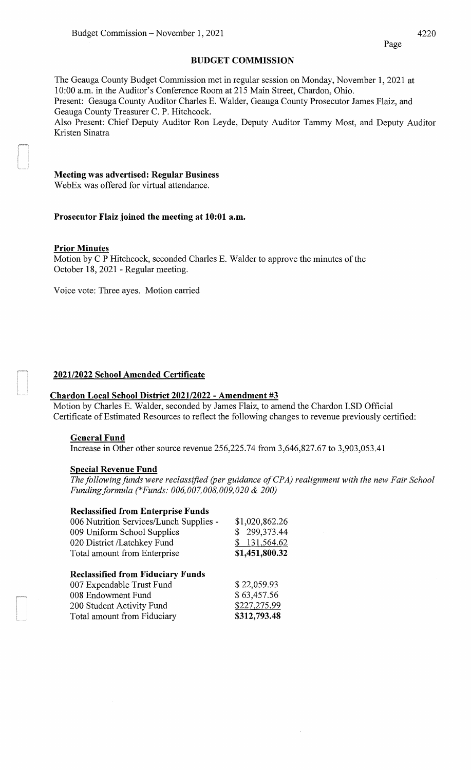### **BUDGET COMMISSION**

The Geauga County Budget Commission met in regular session on Monday, November 1, 2021 at 10:00 a.m. in the Auditor's Conference Room at 215 Main Street, Chardon, Ohio. Present: Geauga County Auditor Charles E. Walder, Geauga County Prosecutor James Flaiz, and Geauga County Treasurer C. P. Hitchcock. Also Present: Chief Deputy Auditor Ron Leyde, Deputy Auditor Tammy Most, and Deputy Auditor

Kristen Sinatra

# **Meeting was advertised: Regular Business**

WebEx was offered for virtual attendance.

### **Prosecutor Flaiz joined the meeting at 10:01 a.m.**

### **Prior Minutes**

Motion by C P Hitchcock, seconded Charles E. Walder to approve the minutes of the October 18, 2021 - Regular meeting.

Voice vote: Three ayes. Motion carried

# **202112022 School Amended Certificate**

# **Chardon Local School District 202112022- Amendment #3**

Motion by Charles E. Walder, seconded by James Flaiz, to amend the Chardon LSD Official Certificate of Estimated Resources to reflect the following changes to revenue previously certified:

### **General Fund**

Increase in Other other source revenue 256,225.74 from 3,646,827.67 to 3,903,053.41

### **Special Revenue Fund**

*The following funds were reclassified (per guidance of CPA) realignment with the new Fair School Fundingformula (\*Funds: 006,007,008,009,020* & *200)* 

### **Reclassified from Enterprise Funds**

| 006 Nutrition Services/Lunch Supplies -<br>009 Uniform School Supplies | \$1,020,862.26<br>\$299,373.44 |
|------------------------------------------------------------------------|--------------------------------|
|                                                                        |                                |
| 020 District /Latchkey Fund                                            | \$131,564.62                   |
| Total amount from Enterprise                                           | \$1,451,800.32                 |
| <b>Reclassified from Fiduciary Funds</b>                               |                                |
|                                                                        |                                |

| 007 Expendable Trust Fund   | \$22,059.93  |
|-----------------------------|--------------|
| 008 Endowment Fund          | \$63,457.56  |
| 200 Student Activity Fund   | \$227,275.99 |
| Total amount from Fiduciary | \$312,793.48 |
|                             |              |

4220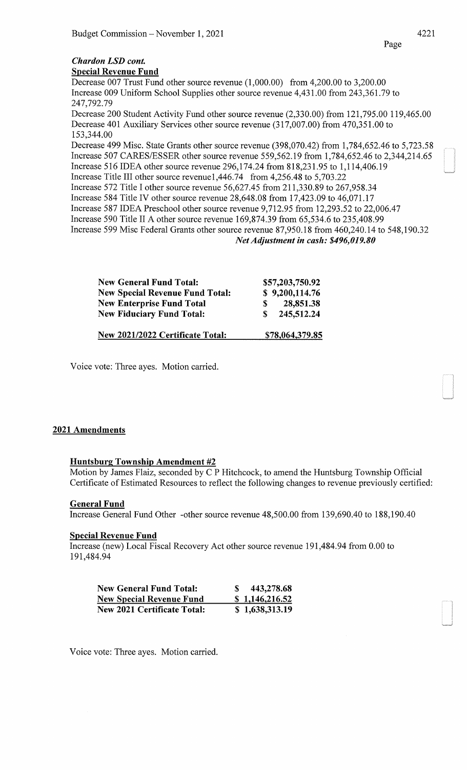# *Chardon LSD cont.*

Special Revenue Fund

Decrease 007 Trust Fund other source revenue (1,000.00) from 4,200.00 to 3,200.00 Increase 009 Uniform School Supplies other source revenue 4,431.00 from 243,361.79 to 247,792.79 Decrease 200 Student Activity Fund other source revenue (2,330.00) from 121,795.00 119,465.00

Decrease 401 Auxiliary Services other source revenue (317,007.00) from 470,351.00 to 153,344.00

Decrease 499 Misc. State Grants other source revenue (398,070.42) from 1,784,652.46 to 5,723.58 Increase 507 CARES/ESSER other source revenue 559,562.19 from 1,784,652.46 to 2,344,214.65 Increase 516 IDEA other source revenue 296,174.24 from 818,231.95 to 1,114,406.19 Increase Title III other source revenue1,446.74 from 4,256.48 to 5,703.22

Increase 572 Title I other source revenue 56,627.45 from 211,330.89 to 267,958.34

Increase 584 Title IV other source revenue 28,648.08 from 17,423.09 to 46,071.17

Increase 587 IDEA Preschool other source revenue 9,712.95 from 12,293.52 to 22,006.47

Increase 590 Title II A other source revenue 169,874.39 from 65,534.6 to 235,408.99

Increase 599 Mise Federal Grants other source revenue 87,950.18 from 460,240.14 to 548,190.32

*Net Adjustment in cash: \$496,019.80* 

| <b>New General Fund Total:</b>         | \$57,203,750.92 |
|----------------------------------------|-----------------|
| <b>New Special Revenue Fund Total:</b> | \$9,200,114.76  |
| <b>New Enterprise Fund Total</b>       | 28,851.38<br>S. |
| <b>New Fiduciary Fund Total:</b>       | \$245,512.24    |
| New 2021/2022 Certificate Total:       | \$78,064,379.85 |

Voice vote: Three ayes. Motion carried.

# 2021 Amendments

# Huntsburg Township Amendment #2

Motion by James Flaiz, seconded by C P Hitchcock, to amend the Huntsburg Township Official Certificate of Estimated Resources to reflect the following changes to revenue previously certified:

# General Fund

Increase General Fund Other -other source revenue 48,500.00 from 139,690.40 to 188,190.40

# Special Revenue Fund

Increase (new) Local Fiscal Recovery Act other source revenue 191,484.94 from 0.00 to 191,484.94

| <b>New General Fund Total:</b>     | 443,278.68     |
|------------------------------------|----------------|
| <b>New Special Revenue Fund</b>    | \$1,146,216.52 |
| <b>New 2021 Certificate Total:</b> | \$1,638,313.19 |

Voice vote: Three ayes. Motion carried.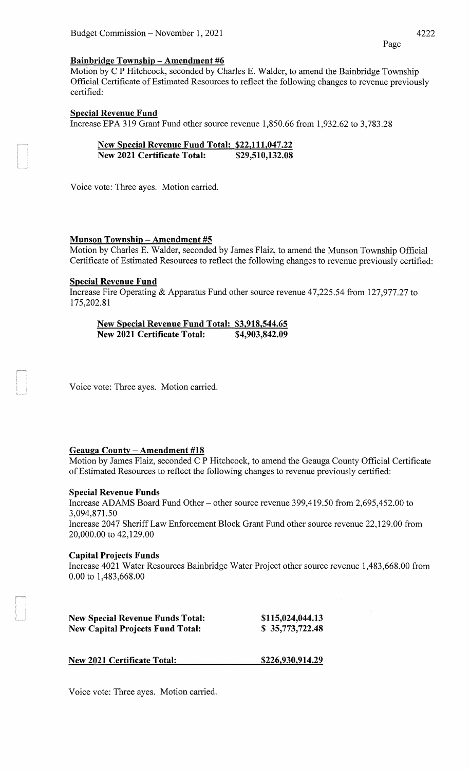Page

### **Bainbridge Township- Amendment #6**

Motion by C P Hitchcock, seconded by Charles E. Walder, to amend the Bainbridge Township Official Certificate of Estimated Resources to reflect the following changes to revenue previously certified:

# **Special Revenue Fund**

Increase EPA 319 Grant Fund other source revenue 1,850.66 from 1,932.62 to 3,783.28

| New Special Revenue Fund Total: \$22,111,047.22 |                 |
|-------------------------------------------------|-----------------|
| <b>New 2021 Certificate Total:</b>              | \$29,510,132.08 |

Voice vote: Three ayes. Motion carried.

# **Munson Township- Amendment #5**

Motion by Charles E. Walder, seconded by James Flaiz, to amend the Munson Township Official Certificate of Estimated Resources to reflect the following changes to revenue previously certified:

### **Special Revenue Fund**

Increase Fire Operating & Apparatus Fund other source revenue 47,225.54 from 127,977.27 to 175,202.81

**New Special Revenue Fund Total: \$3,918,544.65 New 2021 Certificate Total: \$4,903,842.09** 

Voice vote: Three ayes. Motion carried.

# **Geauga County - Amendment #18**

Motion by James Flaiz, seconded C P Hitchcock, to amend the Geauga County Official Certificate of Estimated Resources to reflect the following changes to revenue previously certified:

### **Special Revenue Funds**

Increase ADAMS Board Fund Other- other source revenue 399,419.50 from 2,695,452.00 to 3,094,871.50 Increase 2047 Sheriff Law Enforcement Block Grant Fund other source revenue 22,129.00 from 20,000.00 to 42,129.00

### **Capital Projects Funds**

Increase 4021 Water Resources Bainbridge Water Project other source revenue 1,483,668.00 from 0.00 to 1,483,668.00

| <b>New Special Revenue Funds Total:</b> | \$115,024,044.13 |
|-----------------------------------------|------------------|
| <b>New Capital Projects Fund Total:</b> | \$35,773,722.48  |

**New 2021 Certificate Total:** 

**\$226,930,914.29** 

Voice vote: Three ayes. Motion carried.